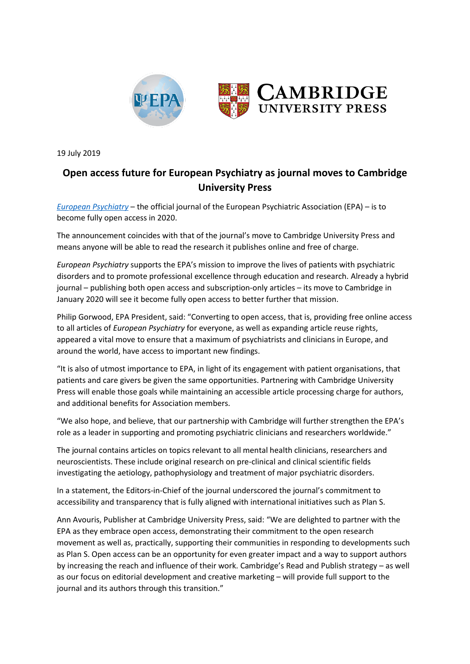

19 July 2019

## **Open access future for European Psychiatry as journal moves to Cambridge University Press**

*[European Psychiatry](http://cambridge.org/epa)* – the official journal of the European Psychiatric Association (EPA) – is to become fully open access in 2020.

The announcement coincides with that of the journal's move to Cambridge University Press and means anyone will be able to read the research it publishes online and free of charge.

*European Psychiatry* supports the EPA's mission to improve the lives of patients with psychiatric disorders and to promote professional excellence through education and research. Already a hybrid journal – publishing both open access and subscription-only articles – its move to Cambridge in January 2020 will see it become fully open access to better further that mission.

Philip Gorwood, EPA President, said: "Converting to open access, that is, providing free online access to all articles of *European Psychiatry* for everyone, as well as expanding article reuse rights, appeared a vital move to ensure that a maximum of psychiatrists and clinicians in Europe, and around the world, have access to important new findings.

"It is also of utmost importance to EPA, in light of its engagement with patient organisations, that patients and care givers be given the same opportunities. Partnering with Cambridge University Press will enable those goals while maintaining an accessible article processing charge for authors, and additional benefits for Association members.

"We also hope, and believe, that our partnership with Cambridge will further strengthen the EPA's role as a leader in supporting and promoting psychiatric clinicians and researchers worldwide."

The journal contains articles on topics relevant to all mental health clinicians, researchers and neuroscientists. These include original research on pre-clinical and clinical scientific fields investigating the aetiology, pathophysiology and treatment of major psychiatric disorders.

In a statement, the Editors-in-Chief of the journal underscored the journal's commitment to accessibility and transparency that is fully aligned with international initiatives such as Plan S.

Ann Avouris, Publisher at Cambridge University Press, said: "We are delighted to partner with the EPA as they embrace open access, demonstrating their commitment to the open research movement as well as, practically, supporting their communities in responding to developments such as Plan S. Open access can be an opportunity for even greater impact and a way to support authors by increasing the reach and influence of their work. Cambridge's Read and Publish strategy – as well as our focus on editorial development and creative marketing – will provide full support to the journal and its authors through this transition."